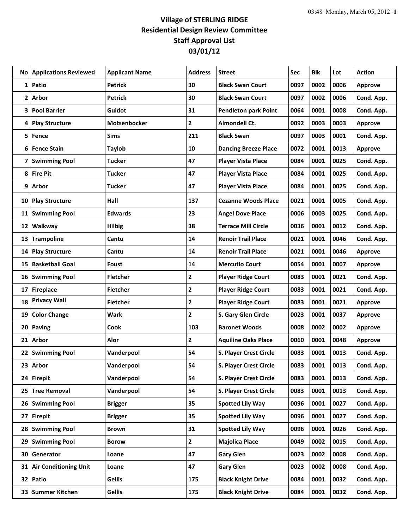## **Village of STERLING RIDGE Residential Design Review Committee Staff Approval List 03/01/12**

|                 | <b>No Applications Reviewed</b> | <b>Applicant Name</b> | <b>Address</b> | <b>Street</b>               | Sec  | <b>Blk</b> | Lot  | <b>Action</b>  |
|-----------------|---------------------------------|-----------------------|----------------|-----------------------------|------|------------|------|----------------|
| 1               | Patio                           | <b>Petrick</b>        | 30             | <b>Black Swan Court</b>     | 0097 | 0002       | 0006 | <b>Approve</b> |
| 2               | Arbor                           | <b>Petrick</b>        | 30             | <b>Black Swan Court</b>     | 0097 | 0002       | 0006 | Cond. App.     |
| 3               | <b>Pool Barrier</b>             | Guidot                | 31             | <b>Pendleton park Point</b> | 0064 | 0001       | 0008 | Cond. App.     |
| 4               | <b>Play Structure</b>           | Motsenbocker          | $\mathbf{2}$   | Almondell Ct.               | 0092 | 0003       | 0003 | <b>Approve</b> |
| 5               | Fence                           | <b>Sims</b>           | 211            | <b>Black Swan</b>           | 0097 | 0003       | 0001 | Cond. App.     |
| 6               | <b>Fence Stain</b>              | Taylob                | 10             | <b>Dancing Breeze Place</b> | 0072 | 0001       | 0013 | <b>Approve</b> |
| 7               | <b>Swimming Pool</b>            | <b>Tucker</b>         | 47             | <b>Player Vista Place</b>   | 0084 | 0001       | 0025 | Cond. App.     |
| 8               | <b>Fire Pit</b>                 | <b>Tucker</b>         | 47             | <b>Player Vista Place</b>   | 0084 | 0001       | 0025 | Cond. App.     |
| 9               | <b>Arbor</b>                    | <b>Tucker</b>         | 47             | <b>Player Vista Place</b>   | 0084 | 0001       | 0025 | Cond. App.     |
| 10              | <b>Play Structure</b>           | Hall                  | 137            | <b>Cezanne Woods Place</b>  | 0021 | 0001       | 0005 | Cond. App.     |
| 11              | <b>Swimming Pool</b>            | <b>Edwards</b>        | 23             | <b>Angel Dove Place</b>     | 0006 | 0003       | 0025 | Cond. App.     |
| 12              | Walkway                         | <b>Hilbig</b>         | 38             | <b>Terrace Mill Circle</b>  | 0036 | 0001       | 0012 | Cond. App.     |
| 13              | <b>Trampoline</b>               | Cantu                 | 14             | <b>Renoir Trail Place</b>   | 0021 | 0001       | 0046 | Cond. App.     |
| 14              | <b>Play Structure</b>           | Cantu                 | 14             | <b>Renoir Trail Place</b>   | 0021 | 0001       | 0046 | <b>Approve</b> |
| 15              | <b>Basketball Goal</b>          | Foust                 | 14             | <b>Mercutio Court</b>       | 0054 | 0001       | 0007 | <b>Approve</b> |
| 16              | <b>Swimming Pool</b>            | <b>Fletcher</b>       | $\mathbf{2}$   | <b>Player Ridge Court</b>   | 0083 | 0001       | 0021 | Cond. App.     |
| 17              | <b>Fireplace</b>                | <b>Fletcher</b>       | $\mathbf{2}$   | <b>Player Ridge Court</b>   | 0083 | 0001       | 0021 | Cond. App.     |
| 18              | <b>Privacy Wall</b>             | <b>Fletcher</b>       | $\overline{2}$ | <b>Player Ridge Court</b>   | 0083 | 0001       | 0021 | <b>Approve</b> |
| 19              | <b>Color Change</b>             | Wark                  | $\mathbf{2}$   | S. Gary Glen Circle         | 0023 | 0001       | 0037 | <b>Approve</b> |
| 20              | <b>Paving</b>                   | Cook                  | 103            | <b>Baronet Woods</b>        | 0008 | 0002       | 0002 | <b>Approve</b> |
| 21              | <b>Arbor</b>                    | Alor                  | $\overline{2}$ | <b>Aquiline Oaks Place</b>  | 0060 | 0001       | 0048 | <b>Approve</b> |
| 22              | <b>Swimming Pool</b>            | Vanderpool            | 54             | S. Player Crest Circle      | 0083 | 0001       | 0013 | Cond. App.     |
| 23              | Arbor                           | Vanderpool            | 54             | S. Player Crest Circle      | 0083 | 0001       | 0013 | Cond. App.     |
|                 | 24 Firepit                      | Vanderpool            | 54             | S. Player Crest Circle      | 0083 | 0001       | 0013 | Cond. App.     |
| 25              | <b>Tree Removal</b>             | Vanderpool            | 54             | S. Player Crest Circle      | 0083 | 0001       | 0013 | Cond. App.     |
| 26 <sup>1</sup> | <b>Swimming Pool</b>            | <b>Brigger</b>        | 35             | <b>Spotted Lily Way</b>     | 0096 | 0001       | 0027 | Cond. App.     |
| 27              | <b>Firepit</b>                  | <b>Brigger</b>        | 35             | <b>Spotted Lily Way</b>     | 0096 | 0001       | 0027 | Cond. App.     |
| 28              | <b>Swimming Pool</b>            | <b>Brown</b>          | 31             | <b>Spotted Lily Way</b>     | 0096 | 0001       | 0026 | Cond. App.     |
| 29              | <b>Swimming Pool</b>            | <b>Borow</b>          | $\mathbf{2}$   | <b>Majolica Place</b>       | 0049 | 0002       | 0015 | Cond. App.     |
| 30              | Generator                       | Loane                 | 47             | <b>Gary Glen</b>            | 0023 | 0002       | 0008 | Cond. App.     |
| 31              | <b>Air Conditioning Unit</b>    | Loane                 | 47             | <b>Gary Glen</b>            | 0023 | 0002       | 0008 | Cond. App.     |
| 32              | Patio                           | <b>Gellis</b>         | 175            | <b>Black Knight Drive</b>   | 0084 | 0001       | 0032 | Cond. App.     |
| 33              | <b>Summer Kitchen</b>           | <b>Gellis</b>         | 175            | <b>Black Knight Drive</b>   | 0084 | 0001       | 0032 | Cond. App.     |